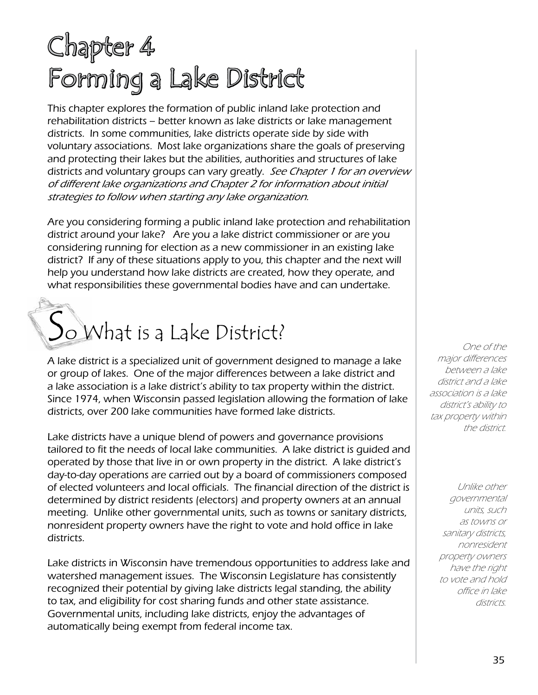## Chapter 4 Forming a Lake District

This chapter explores the formation of public inland lake protection and rehabilitation districts – better known as lake districts or lake management districts. In some communities, lake districts operate side by side with voluntary associations. Most lake organizations share the goals of preserving and protecting their lakes but the abilities, authorities and structures of lake districts and voluntary groups can vary greatly. See Chapter 1 for an overview of different lake organizations and Chapter 2 for information about initial strategies to follow when starting any lake organization.

Are you considering forming a public inland lake protection and rehabilitation district around your lake? Are you a lake district commissioner or are you considering running for election as a new commissioner in an existing lake district? If any of these situations apply to you, this chapter and the next will help you understand how lake districts are created, how they operate, and what responsibilities these governmental bodies have and can undertake.

# $S_{\text{o}}$  What is a Lake District?

A lake district is a specialized unit of government designed to manage a lake or group of lakes. One of the major differences between a lake district and a lake association is a lake district's ability to tax property within the district. Since 1974, when Wisconsin passed legislation allowing the formation of lake districts, over 200 lake communities have formed lake districts.

Lake districts have a unique blend of powers and governance provisions tailored to fit the needs of local lake communities. A lake district is guided and operated by those that live in or own property in the district. A lake district's day-to-day operations are carried out by a board of commissioners composed of elected volunteers and local officials. The financial direction of the district is determined by district residents (electors) and property owners at an annual meeting. Unlike other governmental units, such as towns or sanitary districts, nonresident property owners have the right to vote and hold office in lake districts.

Lake districts in Wisconsin have tremendous opportunities to address lake and watershed management issues. The Wisconsin Legislature has consistently recognized their potential by giving lake districts legal standing, the ability to tax, and eligibility for cost sharing funds and other state assistance. Governmental units, including lake districts, enjoy the advantages of automatically being exempt from federal income tax.

One of the major differences between a lake district and a lake association is a lake district's ability to tax property within the district.

> Unlike other governmental units, such as towns or sanitary districts, nonresident property owners have the right to vote and hold office in lake districts.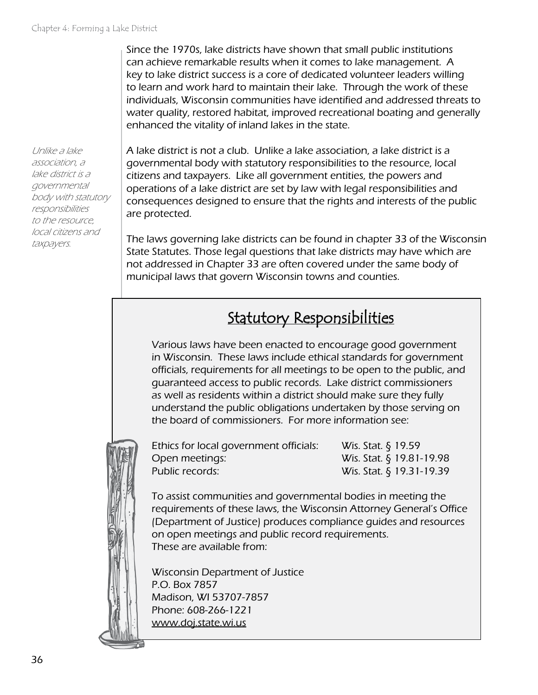Since the 1970s, lake districts have shown that small public institutions can achieve remarkable results when it comes to lake management. A key to lake district success is a core of dedicated volunteer leaders willing to learn and work hard to maintain their lake. Through the work of these individuals, Wisconsin communities have identified and addressed threats to water quality, restored habitat, improved recreational boating and generally enhanced the vitality of inland lakes in the state.

Unlike a lake association, a lake district is a governmental body with statutory responsibilities to the resource, local citizens and taxpayers.

A lake district is not a club. Unlike a lake association, a lake district is a governmental body with statutory responsibilities to the resource, local citizens and taxpayers. Like all government entities, the powers and operations of a lake district are set by law with legal responsibilities and consequences designed to ensure that the rights and interests of the public are protected.

The laws governing lake districts can be found in chapter 33 of the Wisconsin State Statutes. Those legal questions that lake districts may have which are not addressed in Chapter 33 are often covered under the same body of municipal laws that govern Wisconsin towns and counties.

## Statutory Responsibilities

Various laws have been enacted to encourage good government in Wisconsin. These laws include ethical standards for government officials, requirements for all meetings to be open to the public, and guaranteed access to public records. Lake district commissioners as well as residents within a district should make sure they fully understand the public obligations undertaken by those serving on the board of commissioners. For more information see:



Ethics for local government officials: Wis. Stat. § 19.59 Open meetings: Wis. Stat. § 19.81-19.98 Public records: Wis. Stat. § 19.31-19.39

To assist communities and governmental bodies in meeting the requirements of these laws, the Wisconsin Attorney General's Office (Department of Justice) produces compliance guides and resources on open meetings and public record requirements. These are available from:

Wisconsin Department of Justice P.O. Box 7857 Madison, WI 53707-7857 Phone: 608-266-1221 [www.doj.state.wi.us](http://www.doj.state.wi.us)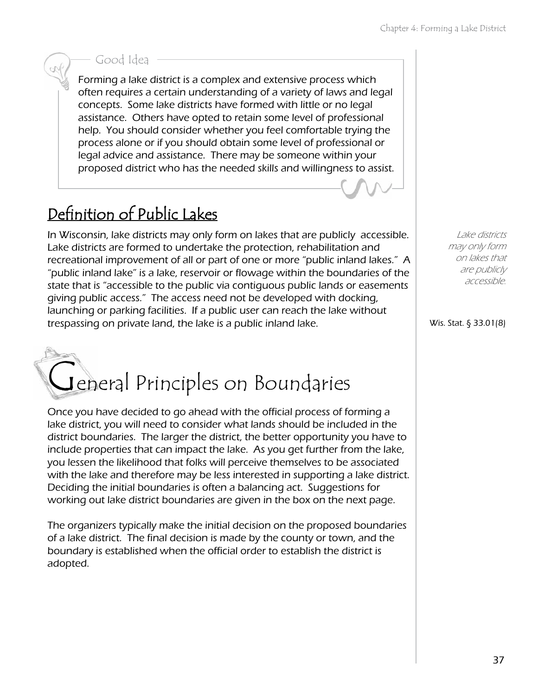#### Good Idea

Forming a lake district is a complex and extensive process which often requires a certain understanding of a variety of laws and legal concepts. Some lake districts have formed with little or no legal assistance. Others have opted to retain some level of professional help. You should consider whether you feel comfortable trying the process alone or if you should obtain some level of professional or legal advice and assistance. There may be someone within your proposed district who has the needed skills and willingness to assist.

## Definition of Public Lakes

In Wisconsin, lake districts may only form on lakes that are publicly accessible. Lake districts are formed to undertake the protection, rehabilitation and recreational improvement of all or part of one or more "public inland lakes." A "public inland lake" is a lake, reservoir or flowage within the boundaries of the state that is "accessible to the public via contiguous public lands or easements giving public access." The access need not be developed with docking, launching or parking facilities. If a public user can reach the lake without trespassing on private land, the lake is a public inland lake.



Once you have decided to go ahead with the official process of forming a lake district, you will need to consider what lands should be included in the district boundaries. The larger the district, the better opportunity you have to include properties that can impact the lake. As you get further from the lake, you lessen the likelihood that folks will perceive themselves to be associated with the lake and therefore may be less interested in supporting a lake district. Deciding the initial boundaries is often a balancing act. Suggestions for working out lake district boundaries are given in the box on the next page.

The organizers typically make the initial decision on the proposed boundaries of a lake district. The final decision is made by the county or town, and the boundary is established when the official order to establish the district is adopted.

Lake districts may only form on lakes that are publicly accessible.

Wis. Stat. § 33.01(8)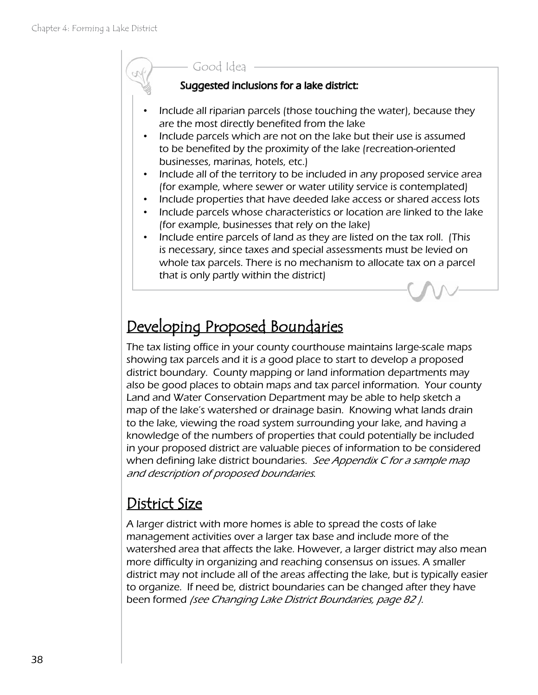#### Good Idea

#### Suggested inclusions for a lake district:

- Include all riparian parcels (those touching the water), because they are the most directly benefited from the lake
- Include parcels which are not on the lake but their use is assumed to be benefited by the proximity of the lake (recreation-oriented businesses, marinas, hotels, etc.)
- Include all of the territory to be included in any proposed service area (for example, where sewer or water utility service is contemplated)
- Include properties that have deeded lake access or shared access lots
- Include parcels whose characteristics or location are linked to the lake (for example, businesses that rely on the lake)
- Include entire parcels of land as they are listed on the tax roll. (This is necessary, since taxes and special assessments must be levied on whole tax parcels. There is no mechanism to allocate tax on a parcel that is only partly within the district)

## Developing Proposed Boundaries

The tax listing office in your county courthouse maintains large-scale maps showing tax parcels and it is a good place to start to develop a proposed district boundary. County mapping or land information departments may also be good places to obtain maps and tax parcel information. Your county Land and Water Conservation Department may be able to help sketch a map of the lake's watershed or drainage basin. Knowing what lands drain to the lake, viewing the road system surrounding your lake, and having a knowledge of the numbers of properties that could potentially be included in your proposed district are valuable pieces of information to be considered when defining lake district boundaries. See Appendix C for a sample map and description of proposed boundaries.

## District Size

A larger district with more homes is able to spread the costs of lake management activities over a larger tax base and include more of the watershed area that affects the lake. However, a larger district may also mean more difficulty in organizing and reaching consensus on issues. A smaller district may not include all of the areas affecting the lake, but is typically easier to organize. If need be, district boundaries can be changed after they have been formed (see Changing Lake District Boundaries, page 82 ).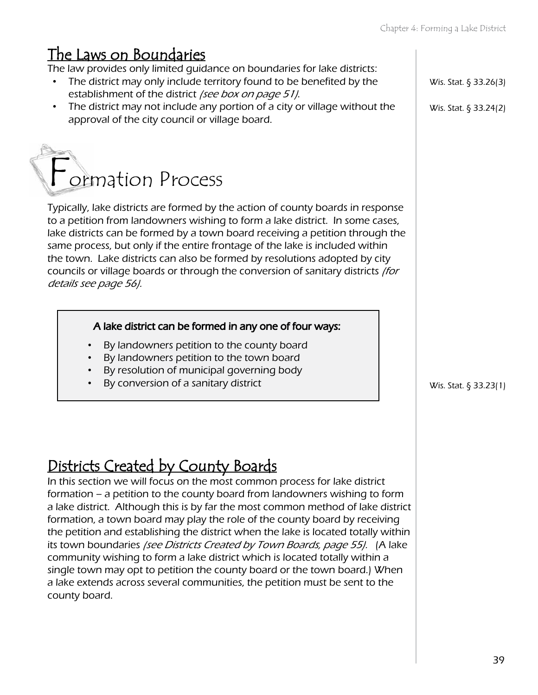## The Laws on Boundaries

The law provides only limited guidance on boundaries for lake districts:

- The district may only include territory found to be benefited by the establishment of the district (see box on page 51).
- The district may not include any portion of a city or village without the approval of the city council or village board.

## ormation Process

Typically, lake districts are formed by the action of county boards in response to a petition from landowners wishing to form a lake district. In some cases, lake districts can be formed by a town board receiving a petition through the same process, but only if the entire frontage of the lake is included within the town. Lake districts can also be formed by resolutions adopted by city councils or village boards or through the conversion of sanitary districts (for details see page 56).

#### A lake district can be formed in any one of four ways:

- By landowners petition to the county board
- By landowners petition to the town board
- By resolution of municipal governing body
- By conversion of a sanitary district  $\vert$   $\vert$  wis. Stat. § 33.23(1)

## Districts Created by County Boards

In this section we will focus on the most common process for lake district formation – a petition to the county board from landowners wishing to form a lake district. Although this is by far the most common method of lake district formation, a town board may play the role of the county board by receiving the petition and establishing the district when the lake is located totally within its town boundaries (see Districts Created by Town Boards, page 55). (A lake community wishing to form a lake district which is located totally within a single town may opt to petition the county board or the town board.) When a lake extends across several communities, the petition must be sent to the county board.

Wis. Stat. § 33.26(3)

Wis. Stat. § 33.24(2)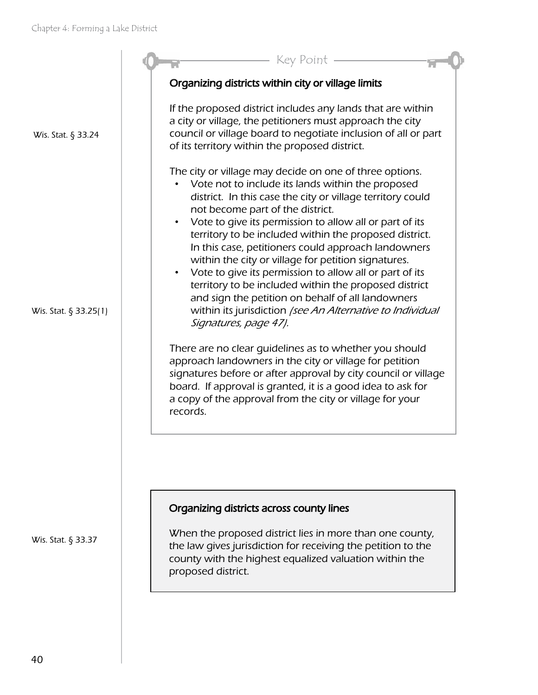

Wis. Stat. § 33.37

county with the highest equalized valuation within the proposed district.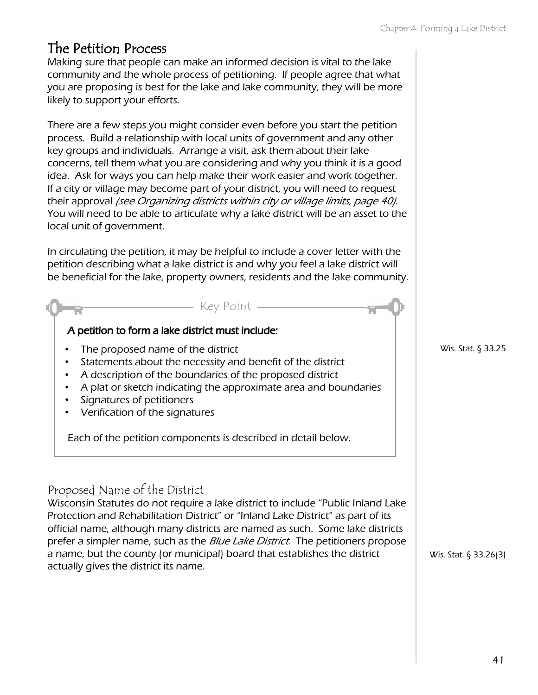## The Petition Process

actually gives the district its name.

Making sure that people can make an informed decision is vital to the lake community and the whole process of petitioning. If people agree that what you are proposing is best for the lake and lake community, they will be more likely to support your efforts.

There are a few steps you might consider even before you start the petition process. Build a relationship with local units of government and any other key groups and individuals. Arrange a visit, ask them about their lake concerns, tell them what you are considering and why you think it is a good idea. Ask for ways you can help make their work easier and work together. If a city or village may become part of your district, you will need to request their approval (see Organizing districts within city or village limits, page 40). You will need to be able to articulate why a lake district will be an asset to the local unit of government.

In circulating the petition, it may be helpful to include a cover letter with the petition describing what a lake district is and why you feel a lake district will be beneficial for the lake, property owners, residents and the lake community.



Wis. Stat. § 33.25

Wis. Stat. § 33.26(3)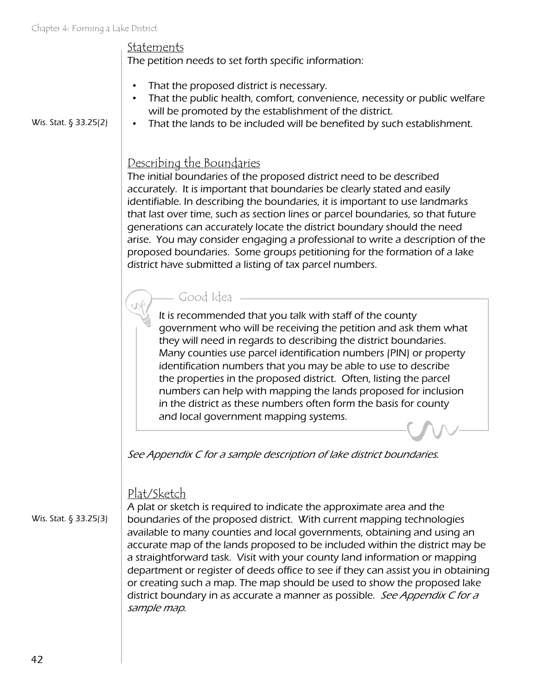Wis. Stat. § 33.25(2)

Statements

The petition needs to set forth specific information:

- That the proposed district is necessary.
- That the public health, comfort, convenience, necessity or public welfare will be promoted by the establishment of the district.
- That the lands to be included will be benefited by such establishment.

#### Describing the Boundaries

The initial boundaries of the proposed district need to be described accurately. It is important that boundaries be clearly stated and easily identifiable. In describing the boundaries, it is important to use landmarks that last over time, such as section lines or parcel boundaries, so that future generations can accurately locate the district boundary should the need arise. You may consider engaging a professional to write a description of the proposed boundaries. Some groups petitioning for the formation of a lake district have submitted a listing of tax parcel numbers.

#### Good Idea

It is recommended that you talk with staff of the county government who will be receiving the petition and ask them what they will need in regards to describing the district boundaries. Many counties use parcel identification numbers (PIN) or property identification numbers that you may be able to use to describe the properties in the proposed district. Often, listing the parcel numbers can help with mapping the lands proposed for inclusion in the district as these numbers often form the basis for county and local government mapping systems.

See Appendix C for a sample description of lake district boundaries.

#### Plat/Sketch

Wis. Stat. § 33.25(3)

A plat or sketch is required to indicate the approximate area and the boundaries of the proposed district. With current mapping technologies available to many counties and local governments, obtaining and using an accurate map of the lands proposed to be included within the district may be a straightforward task. Visit with your county land information or mapping department or register of deeds office to see if they can assist you in obtaining or creating such a map. The map should be used to show the proposed lake district boundary in as accurate a manner as possible. See Appendix C for a sample map.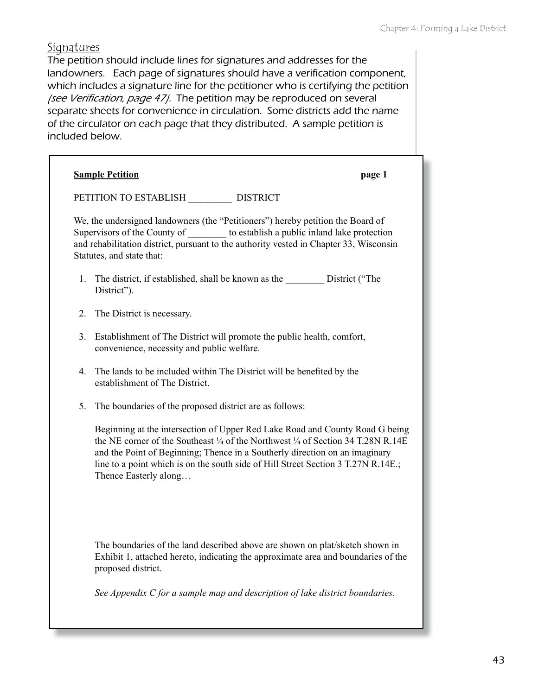#### **Signatures**

The petition should include lines for signatures and addresses for the landowners. Each page of signatures should have a verification component, which includes a signature line for the petitioner who is certifying the petition (see Verification, page 47). The petition may be reproduced on several separate sheets for convenience in circulation. Some districts add the name of the circulator on each page that they distributed. A sample petition is included below.

|         | <b>Sample Petition</b>                                                                                                                                                                                                                                                                                                                                         | page 1 |
|---------|----------------------------------------------------------------------------------------------------------------------------------------------------------------------------------------------------------------------------------------------------------------------------------------------------------------------------------------------------------------|--------|
|         | PETITION TO ESTABLISH DISTRICT                                                                                                                                                                                                                                                                                                                                 |        |
|         | We, the undersigned landowners (the "Petitioners") hereby petition the Board of<br>Supervisors of the County of __________ to establish a public inland lake protection<br>and rehabilitation district, pursuant to the authority vested in Chapter 33, Wisconsin<br>Statutes, and state that:                                                                 |        |
| $1_{-}$ | The district, if established, shall be known as the ___________ District ("The<br>District").                                                                                                                                                                                                                                                                  |        |
| 2.      | The District is necessary.                                                                                                                                                                                                                                                                                                                                     |        |
| 3.      | Establishment of The District will promote the public health, comfort,<br>convenience, necessity and public welfare.                                                                                                                                                                                                                                           |        |
| 4.      | The lands to be included within The District will be benefited by the<br>establishment of The District.                                                                                                                                                                                                                                                        |        |
| 5.      | The boundaries of the proposed district are as follows:                                                                                                                                                                                                                                                                                                        |        |
|         | Beginning at the intersection of Upper Red Lake Road and County Road G being<br>the NE corner of the Southeast 1/4 of the Northwest 1/4 of Section 34 T.28N R.14E<br>and the Point of Beginning; Thence in a Southerly direction on an imaginary<br>line to a point which is on the south side of Hill Street Section 3 T.27N R.14E.;<br>Thence Easterly along |        |
|         | The boundaries of the land described above are shown on plat/sketch shown in<br>Exhibit 1, attached hereto, indicating the approximate area and boundaries of the<br>proposed district.<br>See Appendix $C$ for a sample map and description of lake district boundaries.                                                                                      |        |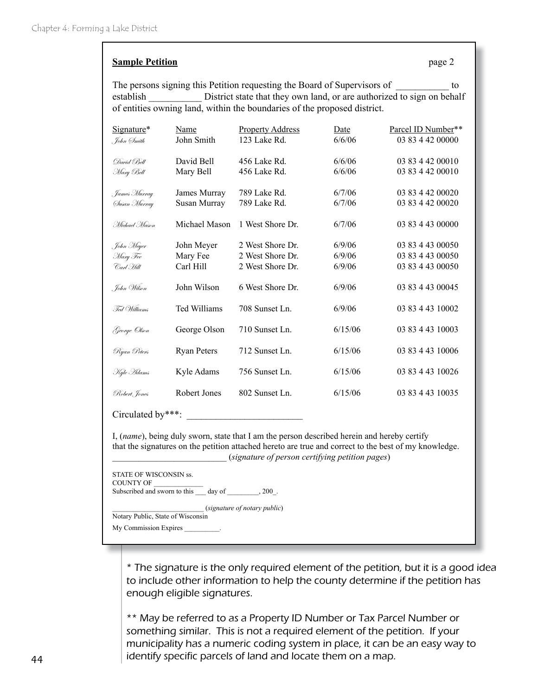#### **Sample Petition** page 2

The persons signing this Petition requesting the Board of Supervisors of to establish District state that they own land, or are authorized to sign on behalf of entities owning land, within the boundaries of the proposed district.

| Signature*          | Name               | <b>Property Address</b> | Date    | Parcel ID Number** |
|---------------------|--------------------|-------------------------|---------|--------------------|
| , John (Ímith       | John Smith         | 123 Lake Rd.            | 6/6/06  | 03 83 4 42 00000   |
| David Bell          | David Bell         | 456 Lake Rd.            | 6/6/06  | 03 83 4 42 00010   |
| Mary Bell           | Mary Bell          | 456 Lake Rd.            | 6/6/06  | 03 83 4 42 00010   |
| . James Murray      | James Murray       | 789 Lake Rd.            | 6/7/06  | 03 83 4 42 00020   |
| Susan Murray        | Susan Murray       | 789 Lake Rd.            | 6/7/06  | 03 83 4 42 00020   |
| Michael Mason       | Michael Mason      | 1 West Shore Dr.        | 6/7/06  | 03 83 4 43 00000   |
| . John Meyer        | John Meyer         | 2 West Shore Dr.        | 6/9/06  | 03 83 4 43 00050   |
| Mary Fee            | Mary Fee           | 2 West Shore Dr.        | 6/9/06  | 03 83 4 43 00050   |
| Carl Hill           | Carl Hill          | 2 West Shore Dr.        | 6/9/06  | 03 83 4 43 00050   |
| , John Wilson       | John Wilson        | 6 West Shore Dr.        | 6/9/06  | 03 83 4 43 00045   |
| Fed Williams        | Ted Williams       | 708 Sunset Ln.          | 6/9/06  | 03 83 4 43 10002   |
| George Olson        | George Olson       | 710 Sunset Ln.          | 6/15/06 | 03 83 4 43 10003   |
| Ryan Peters         | <b>Ryan Peters</b> | 712 Sunset Ln.          | 6/15/06 | 03 83 4 43 10006   |
| Kyte <i>Is</i> dams | Kyle Adams         | 756 Sunset Ln.          | 6/15/06 | 03 83 4 43 10026   |
| Robert, Jones       | Robert Jones       | 802 Sunset Ln.          | 6/15/06 | 03 83 4 43 10035   |

Circulated by \*\*\*:

I, (*name*), being duly sworn, state that I am the person described herein and hereby certify that the signatures on the petition attached hereto are true and correct to the best of my knowledge. \_\_\_\_\_\_\_\_\_\_\_\_\_\_\_\_\_\_\_\_\_\_\_\_\_\_ (*signature of person certifying petition pages*)

STATE OF WISCONSIN ss. COUNTY OF Subscribed and sworn to this  $\qquad \qquad$  day of  $\qquad \qquad$ , 200.

\_\_\_\_\_\_\_\_\_\_\_\_\_\_\_\_\_\_\_\_\_\_\_\_\_\_ (*signature of notary public*) Notary Public, State of Wisconsin

My Commission Expires

\* The signature is the only required element of the petition, but it is a good idea to include other information to help the county determine if the petition has enough eligible signatures.

\*\* May be referred to as a Property ID Number or Tax Parcel Number or something similar. This is not a required element of the petition. If your municipality has a numeric coding system in place, it can be an easy way to identify specific parcels of land and locate them on a map.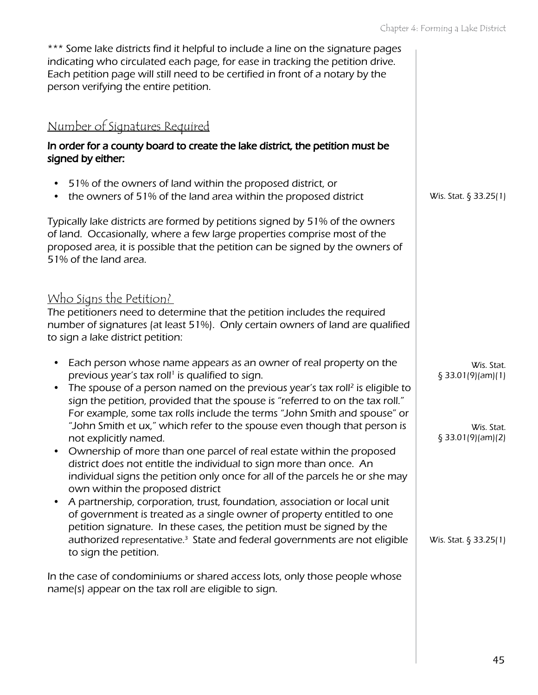| *** Some lake districts find it helpful to include a line on the signature pages<br>indicating who circulated each page, for ease in tracking the petition drive.<br>Each petition page will still need to be certified in front of a notary by the<br>person verifying the entire petition.                                                                                                                                                                                                  |                                 |
|-----------------------------------------------------------------------------------------------------------------------------------------------------------------------------------------------------------------------------------------------------------------------------------------------------------------------------------------------------------------------------------------------------------------------------------------------------------------------------------------------|---------------------------------|
| Number of Signatures Required                                                                                                                                                                                                                                                                                                                                                                                                                                                                 |                                 |
| In order for a county board to create the lake district, the petition must be<br>signed by either:                                                                                                                                                                                                                                                                                                                                                                                            |                                 |
| 51% of the owners of land within the proposed district, or<br>the owners of 51% of the land area within the proposed district<br>$\bullet$                                                                                                                                                                                                                                                                                                                                                    | Wis. Stat. § 33.25(1)           |
| Typically lake districts are formed by petitions signed by 51% of the owners<br>of land. Occasionally, where a few large properties comprise most of the<br>proposed area, it is possible that the petition can be signed by the owners of<br>51% of the land area.                                                                                                                                                                                                                           |                                 |
| <u>Who Signs the Petition?</u><br>The petitioners need to determine that the petition includes the required<br>number of signatures (at least 51%). Only certain owners of land are qualified<br>to sign a lake district petition:                                                                                                                                                                                                                                                            |                                 |
| Each person whose name appears as an owner of real property on the<br>$\bullet$<br>previous year's tax roll <sup>1</sup> is qualified to sign.<br>The spouse of a person named on the previous year's tax roll <sup>2</sup> is eligible to<br>$\bullet$                                                                                                                                                                                                                                       | Wis. Stat.<br>§ 33.01(9)(am)(1) |
| sign the petition, provided that the spouse is "referred to on the tax roll."<br>For example, some tax rolls include the terms "John Smith and spouse" or<br>"John Smith et ux," which refer to the spouse even though that person is<br>not explicitly named.<br>Ownership of more than one parcel of real estate within the proposed<br>district does not entitle the individual to sign more than once. An<br>individual signs the petition only once for all of the parcels he or she may | Wis. Stat.<br>\$33.01(9)(am)(2) |
| own within the proposed district<br>A partnership, corporation, trust, foundation, association or local unit<br>of government is treated as a single owner of property entitled to one<br>petition signature. In these cases, the petition must be signed by the<br>authorized representative. <sup>3</sup> State and federal governments are not eligible<br>to sign the petition.                                                                                                           | Wis. Stat. $\S$ 33.25(1)        |
| In the case of condominiums or shared access lots, only those people whose<br>name(s) appear on the tax roll are eligible to sign.                                                                                                                                                                                                                                                                                                                                                            |                                 |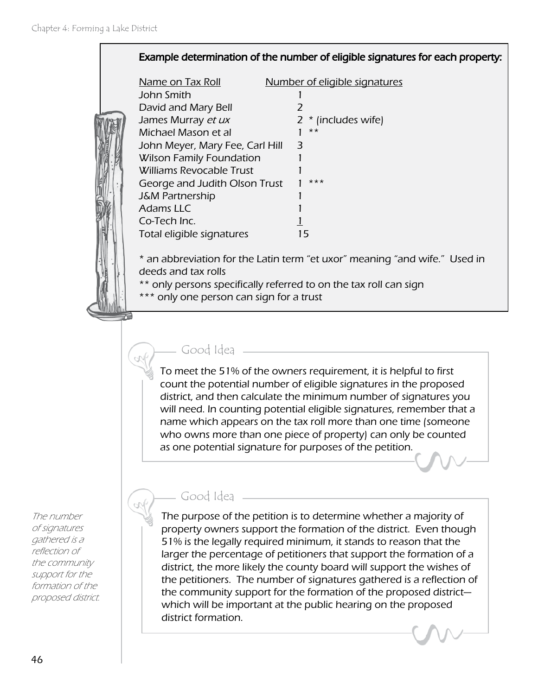#### Example determination of the number of eligible signatures for each property:

| Name on Tax Roll                | Number of eligible signatures |  |
|---------------------------------|-------------------------------|--|
| John Smith                      |                               |  |
| David and Mary Bell             | 1                             |  |
| James Murray et ux              | $2 *$ (includes wife)         |  |
| Michael Mason et al             | $***$                         |  |
| John Meyer, Mary Fee, Carl Hill | З                             |  |
| <b>Wilson Family Foundation</b> |                               |  |
| <b>Williams Revocable Trust</b> |                               |  |
| George and Judith Olson Trust   | $***$                         |  |
| <b>J&amp;M Partnership</b>      |                               |  |
| Adams LLC                       |                               |  |
| Co-Tech Inc.                    |                               |  |
| Total eligible signatures       | $\overline{\phantom{a}}$      |  |
|                                 |                               |  |

\* an abbreviation for the Latin term "et uxor" meaning "and wife." Used in deeds and tax rolls

- \*\* only persons specifically referred to on the tax roll can sign
- \*\*\* only one person can sign for a trust

#### Good Idea

Good Idea

To meet the 51% of the owners requirement, it is helpful to first count the potential number of eligible signatures in the proposed district, and then calculate the minimum number of signatures you will need. In counting potential eligible signatures, remember that a name which appears on the tax roll more than one time (someone who owns more than one piece of property) can only be counted as one potential signature for purposes of the petition.

#### The number of signatures gathered is a reflection of the community support for the formation of the proposed district.

The purpose of the petition is to determine whether a majority of property owners support the formation of the district. Even though 51% is the legally required minimum, it stands to reason that the larger the percentage of petitioners that support the formation of a district, the more likely the county board will support the wishes of the petitioners. The number of signatures gathered is a reflection of the community support for the formation of the proposed district which will be important at the public hearing on the proposed district formation.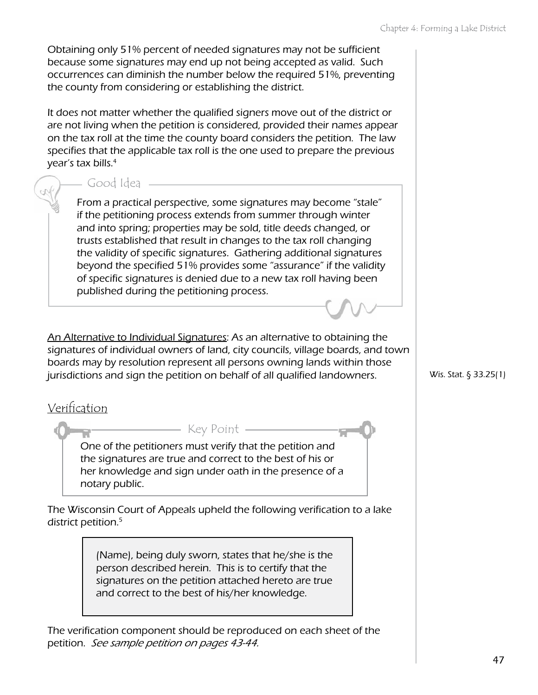Obtaining only 51% percent of needed signatures may not be sufficient because some signatures may end up not being accepted as valid. Such occurrences can diminish the number below the required 51%, preventing the county from considering or establishing the district.

It does not matter whether the qualified signers move out of the district or are not living when the petition is considered, provided their names appear on the tax roll at the time the county board considers the petition. The law specifies that the applicable tax roll is the one used to prepare the previous year's tax bills.4

#### Good Idea

From a practical perspective, some signatures may become "stale" if the petitioning process extends from summer through winter and into spring; properties may be sold, title deeds changed, or trusts established that result in changes to the tax roll changing the validity of specific signatures. Gathering additional signatures beyond the specified 51% provides some "assurance" if the validity of specific signatures is denied due to a new tax roll having been published during the petitioning process.

An Alternative to Individual Signatures: As an alternative to obtaining the signatures of individual owners of land, city councils, village boards, and town boards may by resolution represent all persons owning lands within those jurisdictions and sign the petition on behalf of all qualified landowners.

#### Verification

One of the petitioners must verify that the petition and the signatures are true and correct to the best of his or her knowledge and sign under oath in the presence of a notary public.

Key Point

The Wisconsin Court of Appeals upheld the following verification to a lake district petition.<sup>5</sup>

> (Name), being duly sworn, states that he/she is the person described herein. This is to certify that the signatures on the petition attached hereto are true and correct to the best of his/her knowledge.

The verification component should be reproduced on each sheet of the petition. See sample petition on pages 43-44.

Wis. Stat. § 33.25(1)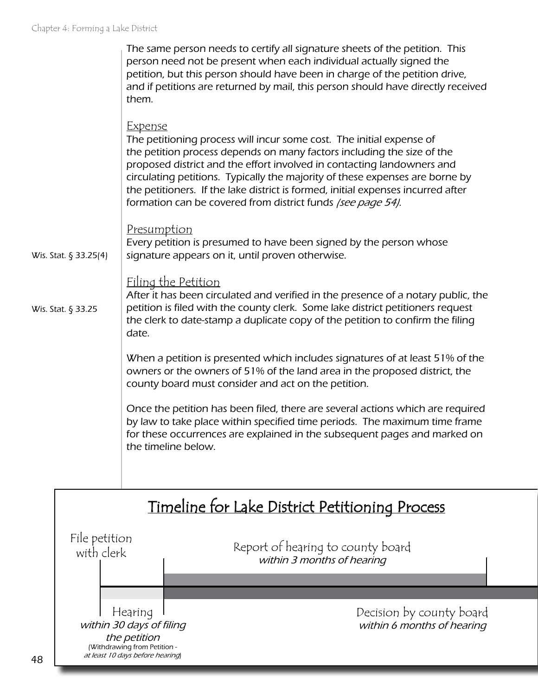|                       | The same person needs to certify all signature sheets of the petition. This<br>person need not be present when each individual actually signed the<br>petition, but this person should have been in charge of the petition drive,<br>and if petitions are returned by mail, this person should have directly received<br>them.                                                                                                                                                |
|-----------------------|-------------------------------------------------------------------------------------------------------------------------------------------------------------------------------------------------------------------------------------------------------------------------------------------------------------------------------------------------------------------------------------------------------------------------------------------------------------------------------|
|                       | <u>Expense</u><br>The petitioning process will incur some cost. The initial expense of<br>the petition process depends on many factors including the size of the<br>proposed district and the effort involved in contacting landowners and<br>circulating petitions. Typically the majority of these expenses are borne by<br>the petitioners. If the lake district is formed, initial expenses incurred after<br>formation can be covered from district funds (see page 54). |
| Wis. Stat. § 33.25(4) | Presumption<br>Every petition is presumed to have been signed by the person whose<br>signature appears on it, until proven otherwise.                                                                                                                                                                                                                                                                                                                                         |
| Wis. Stat. § 33.25    | <u>Filing the Petition</u><br>After it has been circulated and verified in the presence of a notary public, the<br>petition is filed with the county clerk. Some lake district petitioners request<br>the clerk to date-stamp a duplicate copy of the petition to confirm the filing<br>date.                                                                                                                                                                                 |
|                       | When a petition is presented which includes signatures of at least 51% of the<br>owners or the owners of 51% of the land area in the proposed district, the<br>county board must consider and act on the petition.                                                                                                                                                                                                                                                            |
|                       | Once the petition has been filed, there are several actions which are required<br>by law to take place within specified time periods. The maximum time frame<br>for these occurrences are explained in the subsequent pages and marked on<br>the timeline below.                                                                                                                                                                                                              |
|                       |                                                                                                                                                                                                                                                                                                                                                                                                                                                                               |

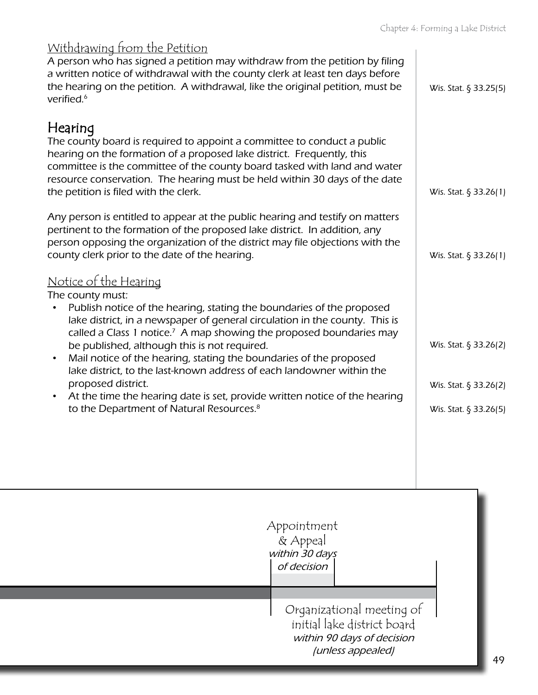|                                                                                                                                                                                                                                                                                                                                                                                                                                                                                                                                                                                                                                                                                               | $C$ <sub>114</sub> $\gamma$ (c) +. T of 1171174 4 Eqne <i>V</i> is then |
|-----------------------------------------------------------------------------------------------------------------------------------------------------------------------------------------------------------------------------------------------------------------------------------------------------------------------------------------------------------------------------------------------------------------------------------------------------------------------------------------------------------------------------------------------------------------------------------------------------------------------------------------------------------------------------------------------|-------------------------------------------------------------------------|
| <u>Withdrawing from the Petition</u><br>A person who has signed a petition may withdraw from the petition by filing<br>a written notice of withdrawal with the county clerk at least ten days before<br>the hearing on the petition. A withdrawal, like the original petition, must be<br>verified. <sup>6</sup>                                                                                                                                                                                                                                                                                                                                                                              | Wis. Stat. § 33.25(5)                                                   |
| Hearing<br>The county board is required to appoint a committee to conduct a public<br>hearing on the formation of a proposed lake district. Frequently, this<br>committee is the committee of the county board tasked with land and water<br>resource conservation. The hearing must be held within 30 days of the date<br>the petition is filed with the clerk.                                                                                                                                                                                                                                                                                                                              | Wis. Stat. § 33.26(1)                                                   |
| Any person is entitled to appear at the public hearing and testify on matters<br>pertinent to the formation of the proposed lake district. In addition, any<br>person opposing the organization of the district may file objections with the<br>county clerk prior to the date of the hearing.                                                                                                                                                                                                                                                                                                                                                                                                | Wis. Stat. $\S$ 33.26(1)                                                |
| <u>Notice of the Hearing</u><br>The county must:<br>Publish notice of the hearing, stating the boundaries of the proposed<br>$\bullet$<br>lake district, in a newspaper of general circulation in the county. This is<br>called a Class 1 notice. <sup>7</sup> A map showing the proposed boundaries may<br>be published, although this is not required.<br>Mail notice of the hearing, stating the boundaries of the proposed<br>$\bullet$<br>lake district, to the last-known address of each landowner within the<br>proposed district.<br>At the time the hearing date is set, provide written notice of the hearing<br>$\bullet$<br>to the Department of Natural Resources. <sup>8</sup> | Wis. Stat. § 33.26(2)<br>Wis. Stat. § 33.26(2)<br>Wis. Stat. § 33.26(5) |
|                                                                                                                                                                                                                                                                                                                                                                                                                                                                                                                                                                                                                                                                                               |                                                                         |

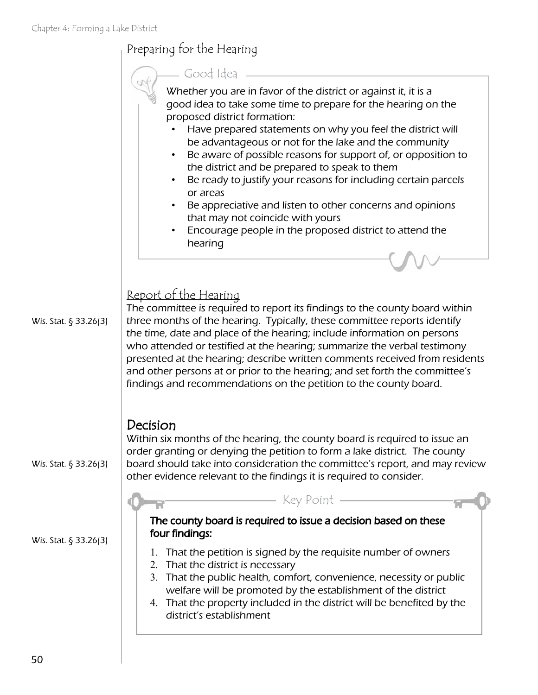|                          | <u>Preparing for the Hearing</u>                                                                                                                                                                                                                                                                                                                                                                                                                                                                                                                                                                                                                                            |
|--------------------------|-----------------------------------------------------------------------------------------------------------------------------------------------------------------------------------------------------------------------------------------------------------------------------------------------------------------------------------------------------------------------------------------------------------------------------------------------------------------------------------------------------------------------------------------------------------------------------------------------------------------------------------------------------------------------------|
|                          | Good Idea<br>Whether you are in favor of the district or against it, it is a<br>good idea to take some time to prepare for the hearing on the<br>proposed district formation:<br>Have prepared statements on why you feel the district will<br>be advantageous or not for the lake and the community<br>Be aware of possible reasons for support of, or opposition to<br>the district and be prepared to speak to them<br>Be ready to justify your reasons for including certain parcels<br>or areas<br>Be appreciative and listen to other concerns and opinions<br>that may not coincide with yours<br>Encourage people in the proposed district to attend the<br>hearing |
| Wis. Stat. § 33.26(3)    | Report of the Hearing<br>The committee is required to report its findings to the county board within<br>three months of the hearing. Typically, these committee reports identify<br>the time, date and place of the hearing; include information on persons<br>who attended or testified at the hearing; summarize the verbal testimony<br>presented at the hearing; describe written comments received from residents<br>and other persons at or prior to the hearing; and set forth the committee's<br>findings and recommendations on the petition to the county board.                                                                                                  |
| Wis. Stat. $\S$ 33.26(3) | Decision<br>Within six months of the hearing, the county board is required to issue an<br>order granting or denying the petition to form a lake district. The county<br>board should take into consideration the committee's report, and may review<br>other evidence relevant to the findings it is required to consider.                                                                                                                                                                                                                                                                                                                                                  |
| Wis. Stat. § 33.26(3)    | Key Point -<br>The county board is required to issue a decision based on these<br>four findings:<br>That the petition is signed by the requisite number of owners<br>1.<br>That the district is necessary<br>2.<br>That the public health, comfort, convenience, necessity or public<br>3.<br>welfare will be promoted by the establishment of the district<br>4. That the property included in the district will be benefited by the<br>district's establishment                                                                                                                                                                                                           |

<u> 1980 - Johann Barbara, martxa al</u>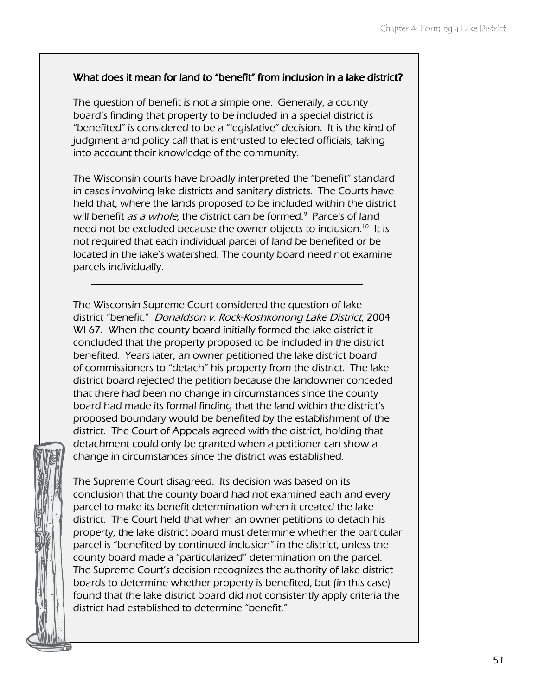#### What does it mean for land to "benefit" from inclusion in a lake district?

The question of benefit is not a simple one. Generally, a county board's finding that property to be included in a special district is "benefited" is considered to be a "legislative" decision. It is the kind of judgment and policy call that is entrusted to elected officials, taking into account their knowledge of the community.

The Wisconsin courts have broadly interpreted the "benefit" standard in cases involving lake districts and sanitary districts. The Courts have held that, where the lands proposed to be included within the district will benefit *as a whole*, the district can be formed.<sup>9</sup> Parcels of land need not be excluded because the owner objects to inclusion.10 It is not required that each individual parcel of land be benefited or be located in the lake's watershed. The county board need not examine parcels individually.

The Wisconsin Supreme Court considered the question of lake district "benefit." Donaldson v. Rock-Koshkonong Lake District, 2004 WI 67. When the county board initially formed the lake district it concluded that the property proposed to be included in the district benefited. Years later, an owner petitioned the lake district board of commissioners to "detach" his property from the district. The lake district board rejected the petition because the landowner conceded that there had been no change in circumstances since the county board had made its formal finding that the land within the district's proposed boundary would be benefited by the establishment of the district. The Court of Appeals agreed with the district, holding that detachment could only be granted when a petitioner can show a change in circumstances since the district was established.



The Supreme Court disagreed. Its decision was based on its conclusion that the county board had not examined each and every parcel to make its benefit determination when it created the lake district. The Court held that when an owner petitions to detach his property, the lake district board must determine whether the particular parcel is "benefited by continued inclusion" in the district, unless the county board made a "particularized" determination on the parcel. The Supreme Court's decision recognizes the authority of lake district boards to determine whether property is benefited, but (in this case) found that the lake district board did not consistently apply criteria the district had established to determine "benefit."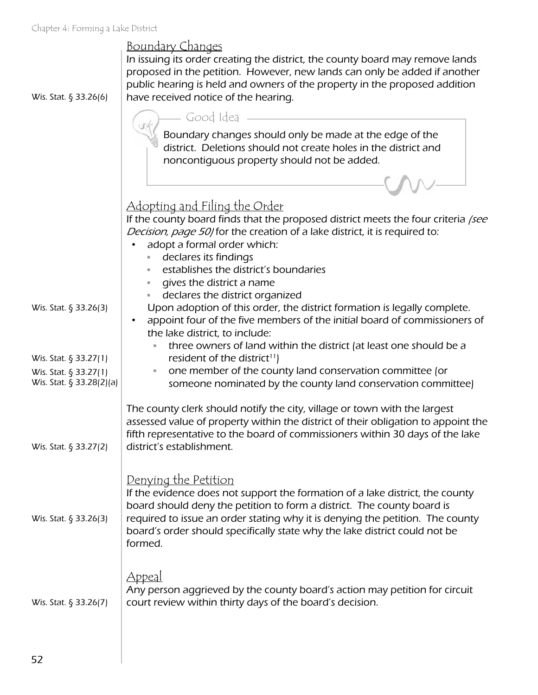| Chapter 4: Forming a Lake District                |                                                                                                                                                                                                                                                                                                             |
|---------------------------------------------------|-------------------------------------------------------------------------------------------------------------------------------------------------------------------------------------------------------------------------------------------------------------------------------------------------------------|
| Wis. Stat. § 33.26(6)                             | <u>Boundary Changes</u><br>In issuing its order creating the district, the county board may remove lands<br>proposed in the petition. However, new lands can only be added if another<br>public hearing is held and owners of the property in the proposed addition<br>have received notice of the hearing. |
|                                                   | – Good Idea –                                                                                                                                                                                                                                                                                               |
|                                                   | Boundary changes should only be made at the edge of the<br>district. Deletions should not create holes in the district and<br>noncontiguous property should not be added.                                                                                                                                   |
|                                                   |                                                                                                                                                                                                                                                                                                             |
|                                                   | <u>Adopting and Filing the Order</u><br>If the county board finds that the proposed district meets the four criteria /see<br>Decision, page 50/for the creation of a lake district, it is required to:<br>adopt a formal order which:                                                                       |
|                                                   | declares its findings<br>establishes the district's boundaries                                                                                                                                                                                                                                              |
|                                                   | gives the district a name<br>ш                                                                                                                                                                                                                                                                              |
| Wis. Stat. § 33.26(3)                             | declares the district organized<br>ш<br>Upon adoption of this order, the district formation is legally complete.<br>appoint four of the five members of the initial board of commissioners of<br>$\bullet$<br>the lake district, to include:                                                                |
| Wis. Stat. § 33.27(1)                             | three owners of land within the district (at least one should be a<br>resident of the district <sup>11</sup> )                                                                                                                                                                                              |
| Wis. Stat. § 33.27(1)<br>Wis. Stat. § 33.28(2)(a) | one member of the county land conservation committee (or<br>$\equiv$<br>someone nominated by the county land conservation committee)                                                                                                                                                                        |
| Wis. Stat. § 33.27(2)                             | The county clerk should notify the city, village or town with the largest<br>assessed value of property within the district of their obligation to appoint the<br>fifth representative to the board of commissioners within 30 days of the lake<br>district's establishment.                                |
| Wis. Stat. § 33.26(3)                             | Denying the Petition<br>If the evidence does not support the formation of a lake district, the county<br>board should deny the petition to form a district. The county board is<br>required to issue an order stating why it is denying the petition. The county                                            |
|                                                   | board's order should specifically state why the lake district could not be<br>formed.<br>Appeal<br>Any person aggrieved by the county board's action may petition for circuit                                                                                                                               |

court review within thirty days of the board's decision.

Wis. Stat. § 33.26(7)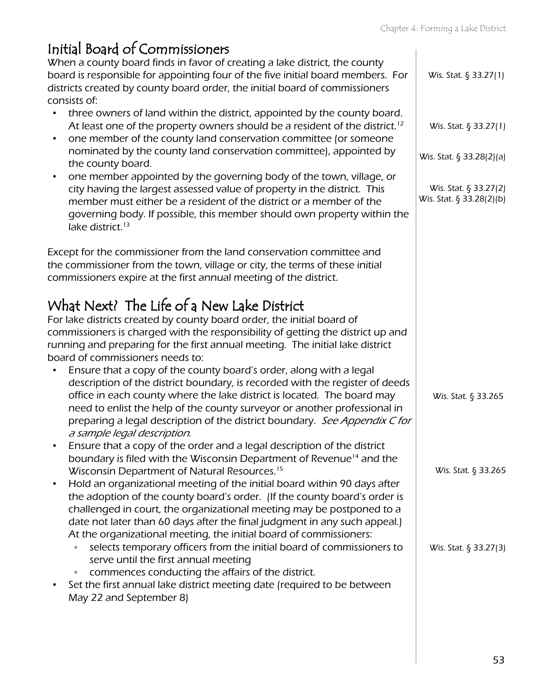| Initial Board of Commissioners<br>When a county board finds in favor of creating a lake district, the county<br>board is responsible for appointing four of the five initial board members. For                                                                                                                                                                                                                                                                                                                                                                                                                                                                                                                                                                  | Wis. Stat. § 33.27(1)                                                                                  |
|------------------------------------------------------------------------------------------------------------------------------------------------------------------------------------------------------------------------------------------------------------------------------------------------------------------------------------------------------------------------------------------------------------------------------------------------------------------------------------------------------------------------------------------------------------------------------------------------------------------------------------------------------------------------------------------------------------------------------------------------------------------|--------------------------------------------------------------------------------------------------------|
| districts created by county board order, the initial board of commissioners<br>consists of:<br>three owners of land within the district, appointed by the county board.<br>At least one of the property owners should be a resident of the district. <sup>12</sup><br>one member of the county land conservation committee (or someone<br>$\bullet$<br>nominated by the county land conservation committee), appointed by<br>the county board.<br>one member appointed by the governing body of the town, village, or<br>$\bullet$<br>city having the largest assessed value of property in the district. This<br>member must either be a resident of the district or a member of the<br>governing body. If possible, this member should own property within the | Wis. Stat. § 33.27(1)<br>Wis. Stat. § 33.28(2)(a)<br>Wis. Stat. § 33.27(2)<br>Wis. Stat. § 33.28(2)(b) |
| lake district. <sup>13</sup><br>Except for the commissioner from the land conservation committee and<br>the commissioner from the town, village or city, the terms of these initial<br>commissioners expire at the first annual meeting of the district.                                                                                                                                                                                                                                                                                                                                                                                                                                                                                                         |                                                                                                        |
| What Next? The Life of a New Lake District<br>For lake districts created by county board order, the initial board of<br>commissioners is charged with the responsibility of getting the district up and<br>running and preparing for the first annual meeting. The initial lake district                                                                                                                                                                                                                                                                                                                                                                                                                                                                         |                                                                                                        |
| board of commissioners needs to:<br>Ensure that a copy of the county board's order, along with a legal<br>description of the district boundary, is recorded with the register of deeds<br>office in each county where the lake district is located. The board may<br>need to enlist the help of the county surveyor or another professional in<br>preparing a legal description of the district boundary. See Appendix C for<br>a sample legal description.                                                                                                                                                                                                                                                                                                      | Wis. Stat. § 33.265                                                                                    |
| Ensure that a copy of the order and a legal description of the district<br>boundary is filed with the Wisconsin Department of Revenue <sup>14</sup> and the<br>Wisconsin Department of Natural Resources. <sup>15</sup><br>Hold an organizational meeting of the initial board within 90 days after<br>the adoption of the county board's order. (If the county board's order is                                                                                                                                                                                                                                                                                                                                                                                 | Wis. Stat. § 33.265                                                                                    |
| challenged in court, the organizational meeting may be postponed to a<br>date not later than 60 days after the final judgment in any such appeal.)<br>At the organizational meeting, the initial board of commissioners:<br>selects temporary officers from the initial board of commissioners to<br>serve until the first annual meeting<br>commences conducting the affairs of the district.<br>ш<br>Set the first annual lake district meeting date (required to be between<br>May 22 and September 8)                                                                                                                                                                                                                                                        | Wis. Stat. $\S$ 33.27(3)                                                                               |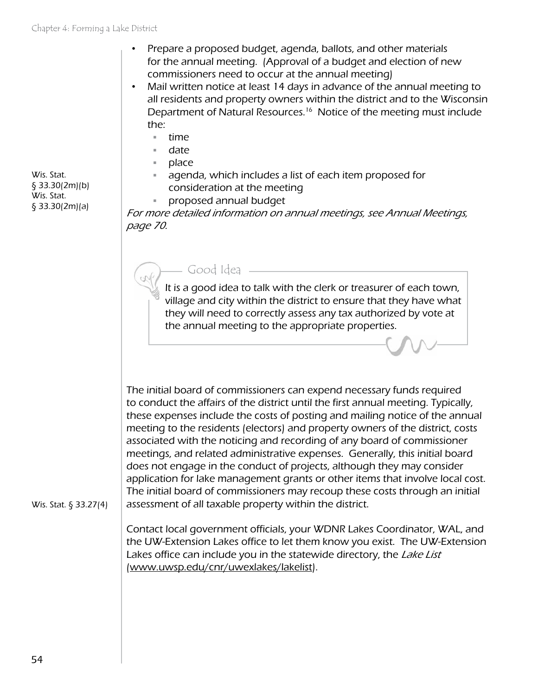- Prepare a proposed budget, agenda, ballots, and other materials for the annual meeting. (Approval of a budget and election of new commissioners need to occur at the annual meeting)
- Mail written notice at least 14 days in advance of the annual meeting to all residents and property owners within the district and to the Wisconsin Department of Natural Resources.<sup>16</sup> Notice of the meeting must include the:
	- $=$  time
	- date
	- place
	- agenda, which includes a list of each item proposed for consideration at the meeting
	- proposed annual budget

For more detailed information on annual meetings, see Annual Meetings, page 70.

#### Good Idea

It is a good idea to talk with the clerk or treasurer of each town, village and city within the district to ensure that they have what they will need to correctly assess any tax authorized by vote at the annual meeting to the appropriate properties.

The initial board of commissioners can expend necessary funds required to conduct the affairs of the district until the first annual meeting. Typically, these expenses include the costs of posting and mailing notice of the annual meeting to the residents (electors) and property owners of the district, costs associated with the noticing and recording of any board of commissioner meetings, and related administrative expenses. Generally, this initial board does not engage in the conduct of projects, although they may consider application for lake management grants or other items that involve local cost. The initial board of commissioners may recoup these costs through an initial assessment of all taxable property within the district.

Wis. Stat. § 33.27(4)

Contact local government officials, your WDNR Lakes Coordinator, WAL, and the UW-Extension Lakes office to let them know you exist. The UW-Extension Lakes office can include you in the statewide directory, the Lake List ([www.uwsp.edu/cnr/uwexlakes/lakelist](http://www.uwsp.edu/cnr/uwexlakes/lakelist)).

Wis. Stat. § 33.30(2m)(b) Wis. Stat. § 33.30(2m)(a)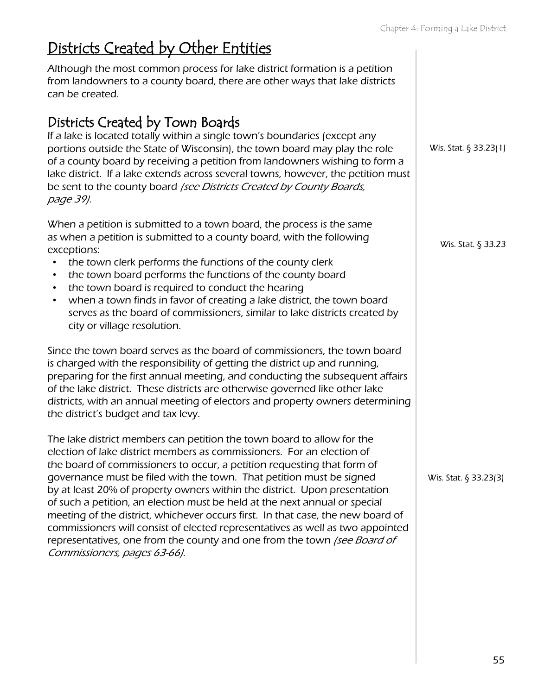## Districts Created by Other Entities

Although the most common process for lake district formation is a petition from landowners to a county board, there are other ways that lake districts can be created.

### Districts Created by Town Boards

If a lake is located totally within a single town's boundaries (except any portions outside the State of Wisconsin), the town board may play the role of a county board by receiving a petition from landowners wishing to form a lake district. If a lake extends across several towns, however, the petition must be sent to the county board (see Districts Created by County Boards, page 39).

When a petition is submitted to a town board, the process is the same as when a petition is submitted to a county board, with the following exceptions:

- the town clerk performs the functions of the county clerk
- the town board performs the functions of the county board
- the town board is required to conduct the hearing
- when a town finds in favor of creating a lake district, the town board serves as the board of commissioners, similar to lake districts created by city or village resolution.

Since the town board serves as the board of commissioners, the town board is charged with the responsibility of getting the district up and running, preparing for the first annual meeting, and conducting the subsequent affairs of the lake district. These districts are otherwise governed like other lake districts, with an annual meeting of electors and property owners determining the district's budget and tax levy.

The lake district members can petition the town board to allow for the election of lake district members as commissioners. For an election of the board of commissioners to occur, a petition requesting that form of governance must be filed with the town. That petition must be signed by at least 20% of property owners within the district. Upon presentation of such a petition, an election must be held at the next annual or special meeting of the district, whichever occurs first. In that case, the new board of commissioners will consist of elected representatives as well as two appointed representatives, one from the county and one from the town (see Board of Commissioners, pages 63-66).

Wis. Stat. § 33.23(1)

Wis. Stat. § 33.23

Wis. Stat. § 33.23(3)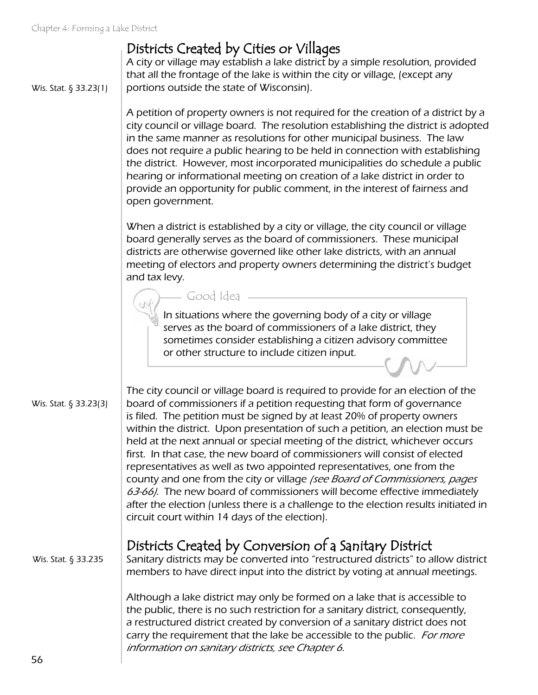Wis. Stat. § 33.23(1)

### Districts Created by Cities or Villages

A city or village may establish a lake district by a simple resolution, provided that all the frontage of the lake is within the city or village, (except any portions outside the state of Wisconsin).

A petition of property owners is not required for the creation of a district by a city council or village board. The resolution establishing the district is adopted in the same manner as resolutions for other municipal business. The law does not require a public hearing to be held in connection with establishing the district. However, most incorporated municipalities do schedule a public hearing or informational meeting on creation of a lake district in order to provide an opportunity for public comment, in the interest of fairness and open government.

When a district is established by a city or village, the city council or village board generally serves as the board of commissioners. These municipal districts are otherwise governed like other lake districts, with an annual meeting of electors and property owners determining the district's budget and tax levy.

Good Idea

In situations where the governing body of a city or village serves as the board of commissioners of a lake district, they sometimes consider establishing a citizen advisory committee or other structure to include citizen input.

Wis. Stat. § 33.23(3)

The city council or village board is required to provide for an election of the board of commissioners if a petition requesting that form of governance is filed. The petition must be signed by at least 20% of property owners within the district. Upon presentation of such a petition, an election must be held at the next annual or special meeting of the district, whichever occurs first. In that case, the new board of commissioners will consist of elected representatives as well as two appointed representatives, one from the county and one from the city or village (see Board of Commissioners, pages 63-66). The new board of commissioners will become effective immediately after the election (unless there is a challenge to the election results initiated in circuit court within 14 days of the election).

Wis. Stat. § 33.235

Districts Created by Conversion of a Sanitary District

Sanitary districts may be converted into "restructured districts" to allow district members to have direct input into the district by voting at annual meetings.

Although a lake district may only be formed on a lake that is accessible to the public, there is no such restriction for a sanitary district, consequently, a restructured district created by conversion of a sanitary district does not carry the requirement that the lake be accessible to the public. For more information on sanitary districts, see Chapter 6.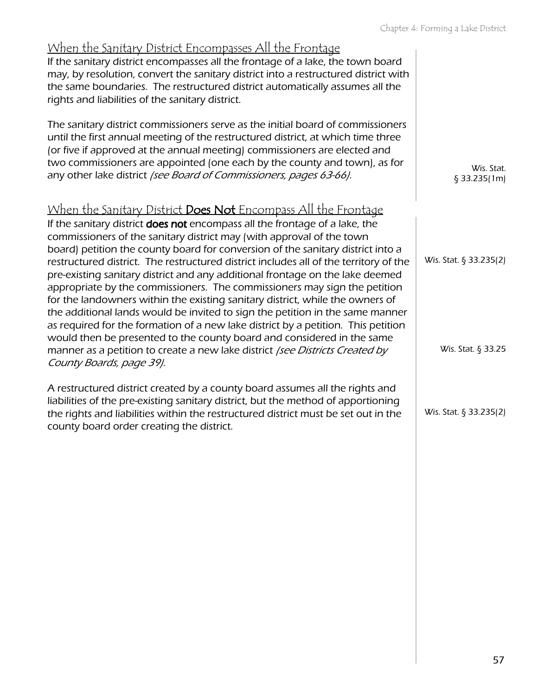| When the Sanitary District Encompasses All the Frontage<br>If the sanitary district encompasses all the frontage of a lake, the town board<br>may, by resolution, convert the sanitary district into a restructured district with<br>the same boundaries. The restructured district automatically assumes all the<br>rights and liabilities of the sanitary district.                                                                                                                                                                                                                                                                                                                                                                                                                                                                                                                                                                                                                                                       |                                              |
|-----------------------------------------------------------------------------------------------------------------------------------------------------------------------------------------------------------------------------------------------------------------------------------------------------------------------------------------------------------------------------------------------------------------------------------------------------------------------------------------------------------------------------------------------------------------------------------------------------------------------------------------------------------------------------------------------------------------------------------------------------------------------------------------------------------------------------------------------------------------------------------------------------------------------------------------------------------------------------------------------------------------------------|----------------------------------------------|
| The sanitary district commissioners serve as the initial board of commissioners<br>until the first annual meeting of the restructured district, at which time three<br>(or five if approved at the annual meeting) commissioners are elected and<br>two commissioners are appointed (one each by the county and town), as for<br>any other lake district /see Board of Commissioners, pages 63-66).                                                                                                                                                                                                                                                                                                                                                                                                                                                                                                                                                                                                                         | Wis. Stat.<br>$§$ 33.235(1m)                 |
| <u>When the Sanitary District <b>Does Not</b> Encompass All the Frontage</u><br>If the sanitary district does not encompass all the frontage of a lake, the<br>commissioners of the sanitary district may (with approval of the town<br>board) petition the county board for conversion of the sanitary district into a<br>restructured district. The restructured district includes all of the territory of the<br>pre-existing sanitary district and any additional frontage on the lake deemed<br>appropriate by the commissioners. The commissioners may sign the petition<br>for the landowners within the existing sanitary district, while the owners of<br>the additional lands would be invited to sign the petition in the same manner<br>as required for the formation of a new lake district by a petition. This petition<br>would then be presented to the county board and considered in the same<br>manner as a petition to create a new lake district (see Districts Created by<br>County Boards, page 39). | Wis. Stat. § 33.235(2)<br>Wis. Stat. § 33.25 |
| A restructured district created by a county board assumes all the rights and<br>liabilities of the pre-existing sanitary district, but the method of apportioning<br>the rights and liabilities within the restructured district must be set out in the<br>county board order creating the district.                                                                                                                                                                                                                                                                                                                                                                                                                                                                                                                                                                                                                                                                                                                        | Wis. Stat. § 33.235(2)                       |
|                                                                                                                                                                                                                                                                                                                                                                                                                                                                                                                                                                                                                                                                                                                                                                                                                                                                                                                                                                                                                             |                                              |
|                                                                                                                                                                                                                                                                                                                                                                                                                                                                                                                                                                                                                                                                                                                                                                                                                                                                                                                                                                                                                             |                                              |